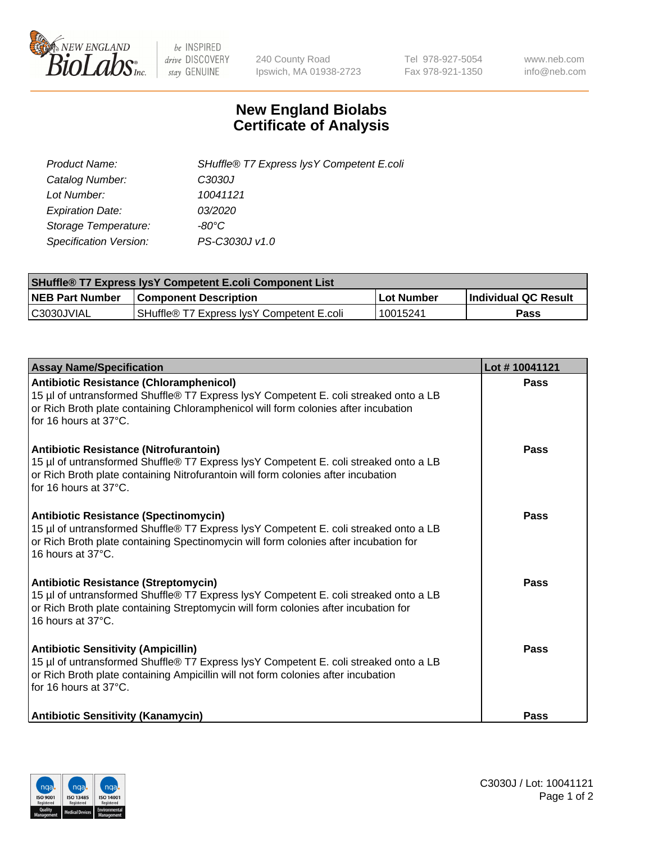

 $be$  INSPIRED drive DISCOVERY stay GENUINE

240 County Road Ipswich, MA 01938-2723 Tel 978-927-5054 Fax 978-921-1350 www.neb.com info@neb.com

## **New England Biolabs Certificate of Analysis**

| SHuffle® T7 Express lysY Competent E.coli |
|-------------------------------------------|
| C3030J                                    |
| 10041121                                  |
| <i>03/2020</i>                            |
| -80°C                                     |
| PS-C3030J v1.0                            |
|                                           |

| <b>SHuffle<sup>®</sup> T7 Express lysY Competent E.coli Component List</b> |                                                       |                   |                             |  |
|----------------------------------------------------------------------------|-------------------------------------------------------|-------------------|-----------------------------|--|
| <b>NEB Part Number</b>                                                     | <b>Component Description</b>                          | <b>Lot Number</b> | <b>Individual QC Result</b> |  |
| C3030JVIAL                                                                 | SHuffle <sup>®</sup> T7 Express lysY Competent E.coli | 10015241          | Pass                        |  |

| <b>Assay Name/Specification</b>                                                                                                                                                                                                                       | Lot #10041121 |
|-------------------------------------------------------------------------------------------------------------------------------------------------------------------------------------------------------------------------------------------------------|---------------|
| <b>Antibiotic Resistance (Chloramphenicol)</b><br>15 µl of untransformed Shuffle® T7 Express lysY Competent E. coli streaked onto a LB<br>or Rich Broth plate containing Chloramphenicol will form colonies after incubation<br>for 16 hours at 37°C. | <b>Pass</b>   |
| Antibiotic Resistance (Nitrofurantoin)<br>15 µl of untransformed Shuffle® T7 Express lysY Competent E. coli streaked onto a LB<br>or Rich Broth plate containing Nitrofurantoin will form colonies after incubation<br>for 16 hours at 37°C.          | Pass          |
| <b>Antibiotic Resistance (Spectinomycin)</b><br>15 µl of untransformed Shuffle® T7 Express lysY Competent E. coli streaked onto a LB<br>or Rich Broth plate containing Spectinomycin will form colonies after incubation for<br>16 hours at 37°C.     | Pass          |
| Antibiotic Resistance (Streptomycin)<br>15 µl of untransformed Shuffle® T7 Express lysY Competent E. coli streaked onto a LB<br>or Rich Broth plate containing Streptomycin will form colonies after incubation for<br>16 hours at 37°C.              | <b>Pass</b>   |
| <b>Antibiotic Sensitivity (Ampicillin)</b><br>15 µl of untransformed Shuffle® T7 Express lysY Competent E. coli streaked onto a LB<br>or Rich Broth plate containing Ampicillin will not form colonies after incubation<br>for 16 hours at 37°C.      | Pass          |
| <b>Antibiotic Sensitivity (Kanamycin)</b>                                                                                                                                                                                                             | Pass          |